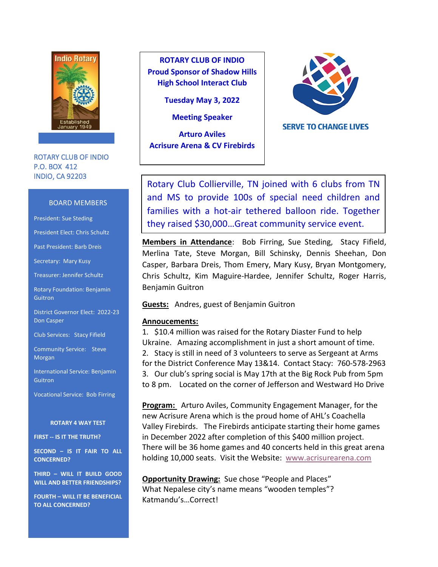

ROTARY CLUB OF INDIO P.O. BOX 412 INDIO, CA 92203

#### BOARD MEMBERS

President: Sue Steding

President Elect: Chris Schultz

Past President: Barb Dreis

Secretary: Mary Kusy

Treasurer: Jennifer Schultz

Rotary Foundation: Benjamin **Guitron** 

District Governor Elect: 2022-23 Don Casper

Club Services: Stacy Fifield

Community Service: Steve Morgan

International Service: Benjamin **Guitron** 

Vocational Service: Bob Firring

#### **ROTARY 4 WAY TEST**

**FIRST -- IS IT THE TRUTH?**

**SECOND – IS IT FAIR TO ALL CONCERNED?**

**THIRD – WILL IT BUILD GOOD WILL AND BETTER FRIENDSHIPS?**

**FOURTH – WILL IT BE BENEFICIAL TO ALL CONCERNED?**

**ROTARY CLUB OF INDIO Proud Sponsor of Shadow Hills High School Interact Club**

**Tuesday May 3, 2022**

**Meeting Speaker** 

**Arturo Aviles Acrisure Arena & CV Firebirds**



**SERVE TO CHANGE LIVES** 

Rotary Club Collierville, TN joined with 6 clubs from TN and MS to provide 100s of special need children and families with a hot-air tethered balloon ride. Together they raised \$30,000…Great community service event.

**Members in Attendance**: Bob Firring, Sue Steding, Stacy Fifield, Merlina Tate, Steve Morgan, Bill Schinsky, Dennis Sheehan, Don Casper, Barbara Dreis, Thom Emery, Mary Kusy, Bryan Montgomery, Chris Schultz, Kim Maguire-Hardee, Jennifer Schultz, Roger Harris, Benjamin Guitron

**Guests:** Andres, guest of Benjamin Guitron

### **Annoucements:**

1. \$10.4 million was raised for the Rotary Diaster Fund to help Ukraine. Amazing accomplishment in just a short amount of time. 2. Stacy is still in need of 3 volunteers to serve as Sergeant at Arms for the District Conference May 13&14. Contact Stacy: 760-578-2963 3. Our club's spring social is May 17th at the Big Rock Pub from 5pm to 8 pm. Located on the corner of Jefferson and Westward Ho Drive

**Program:** Arturo Aviles, Community Engagement Manager, for the new Acrisure Arena which is the proud home of AHL's Coachella Valley Firebirds. The Firebirds anticipate starting their home games in December 2022 after completion of this \$400 million project. There will be 36 home games and 40 concerts held in this great arena holding 10,000 seats. Visit the Website: [www.acrisurearena.com](http://www.acrisurearena.com/) 

**Opportunity Drawing:** Sue chose "People and Places" What Nepalese city's name means "wooden temples"? Katmandu's…Correct!